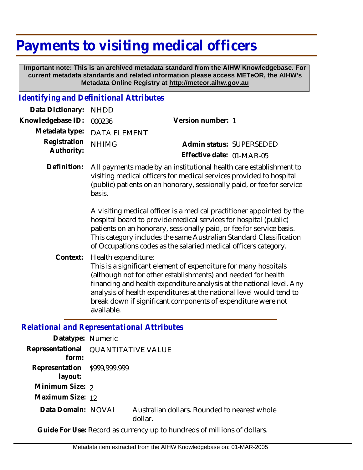## **Payments to visiting medical officers**

 **Important note: This is an archived metadata standard from the AIHW Knowledgebase. For current metadata standards and related information please access METeOR, the AIHW's Metadata Online Registry at http://meteor.aihw.gov.au**

## *Identifying and Definitional Attributes*

| Data Dictionary: NHDD            |                             |                                                                                                                                                                                                                                   |  |
|----------------------------------|-----------------------------|-----------------------------------------------------------------------------------------------------------------------------------------------------------------------------------------------------------------------------------|--|
| Knowledgebase ID: 000236         |                             | Version number: 1                                                                                                                                                                                                                 |  |
|                                  | Metadata type: DATA ELEMENT |                                                                                                                                                                                                                                   |  |
| Registration NHIMG<br>Authority: |                             | Admin status: SUPERSEDED                                                                                                                                                                                                          |  |
|                                  |                             | Effective date: 01-MAR-05                                                                                                                                                                                                         |  |
|                                  |                             | $\mathbf{1}$ , and a set of the set of the set of the set of the set of the set of the set of the set of the set of the set of the set of the set of the set of the set of the set of the set of the set of the set of the set of |  |

All payments made by an institutional health care establishment to visiting medical officers for medical services provided to hospital (public) patients on an honorary, sessionally paid, or fee for service basis. **Definition:**

> A visiting medical officer is a medical practitioner appointed by the hospital board to provide medical services for hospital (public) patients on an honorary, sessionally paid, or fee for service basis. This category includes the same Australian Standard Classification of Occupations codes as the salaried medical officers category.

Health expenditure: **Context:**

This is a significant element of expenditure for many hospitals (although not for other establishments) and needed for health financing and health expenditure analysis at the national level. Any analysis of health expenditures at the national level would tend to break down if significant components of expenditure were not available.

## *Relational and Representational Attributes*

| Datatype: Numeric                       |                                     |                                                         |  |
|-----------------------------------------|-------------------------------------|---------------------------------------------------------|--|
| form:                                   | Representational QUANTITATIVE VALUE |                                                         |  |
| Representation \$999,999,999<br>layout: |                                     |                                                         |  |
| Minimum Size: 2                         |                                     |                                                         |  |
| Maximum Size: 12                        |                                     |                                                         |  |
| Data Domain: NOVAL                      |                                     | Australian dollars. Rounded to nearest whole<br>dollar. |  |

**Guide For Use:** Record as currency up to hundreds of millions of dollars.